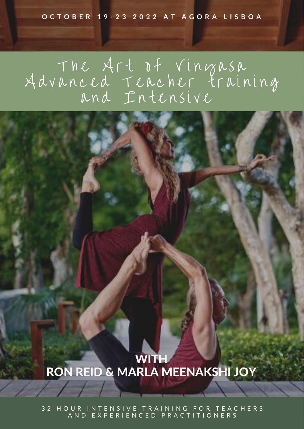#### OCTOBER 19-23 2022 AT AGORA LISBOA

### T N C A F t D t V I N G R S R A d v a n c e d T e a c n er t r a i n i n g a n d I n t e n s i v e



3 2 H O U R I N T E N S I V E T R A I N I N G F O R T E A C H E R S A N D E X P E R I E N C E D P R A C T I T I O N E R S

### WITH RON REID & MARLA MEENAKSHI JOY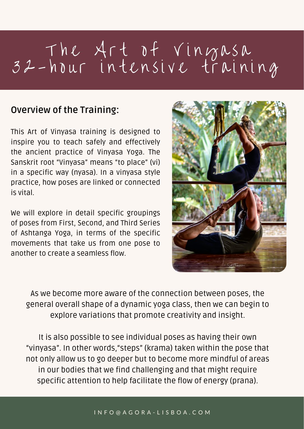# T h e A r t o t V i n y a s a 32 - hour intensive training

### **Overview of the Training:**

We will explore in detail specific groupings of poses from First, Second, and Third Series



This Art of Vinyasa training is designed to inspire you to teach safely and effectively the ancient practice of Vinyasa Yoga. The Sanskrit root "Vinyasa" means "to place" (vi) in a specific way (nyasa). In a vinyasa style practice, how poses are linked or connected is vital.

> not only allow us to go deeper but to become more mindful of areas in our bodies that we find challenging and that might require It is also possible to see individual poses as having their own "vinyasa". In other words, "steps" (krama) taken within the pose that specific attention to help facilitate the flow of energy (prana).

of Ashtanga Yoga, in terms of the specific movements that take us from one pose to another to create a seamless flow.



As we become more aware of the connection between poses, the general overall shape of a dynamic yoga class, then we can begin to explore variations that promote creativity and insight.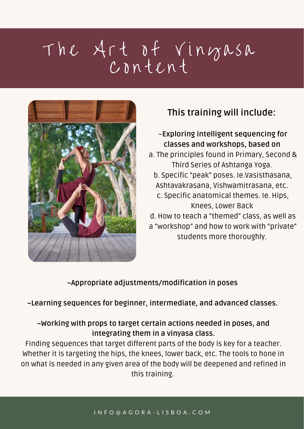# T h e A r t o t V i n g a s a  $C$   $n$   $n$   $t$   $C$   $n$   $t$



### **This training will include:**

~**Exploring intelligent sequencing for classes and workshops, based on** a. The principles found in Primary, Second & Third Series of Ashtanga Yoga. b. Specific "peak" poses. Ie.Vasisthasana, Ashtavakrasana, Vishwamitrasana, etc. c. Specific anatomical themes. Ie. Hips, Knees, Lower Back d. How to teach a "themed" class, as well as

which the Nices, lower back, the surface state in the designance of the designance of the designance of  $\eta$ as a view of this training. Finding sequences that target different parts of the body is key for a teacher. Whether it is targeting the hips, the knees, lower back, etc. The tools to hone in on what is needed in any given area of the body will be deepened and refined in

a "workshop" and how to work with "private"

students more thoroughly.

**~Appropriate adjustments/modification in poses**

**~Learning sequences for beginner, intermediate, and advanced classes.**

### **~Working with props to target certain actions needed in poses, and integrating them in a vinyasa class.**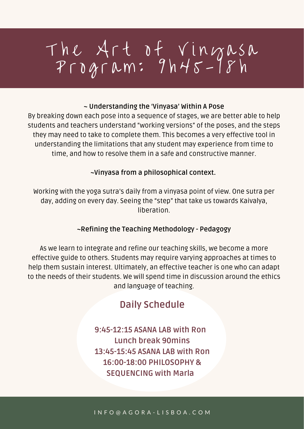# T h e A r t o t V in g a s a P r o g r a m : 9 h 4 5 - 1 8 h

I N F O @ A G O R A - L I S B O A . C O M

### **Daily Schedule**

**9:45-12:15 ASANA LAB with Ron Lunch break 90mins 13:45-15:45 ASANA LAB with Ron 16:00-18:00 PHILOSOPHY & SEQUENCING with Marla**

#### **~ Understanding the 'Vinyasa' Within A Pose**

By breaking down each pose into a sequence of stages, we are better able to help students and teachers understand "working versions" of the poses, and the steps they may need to take to complete them. This becomes a very effective tool in understanding the limitations that any student may experience from time to time, and how to resolve them in a safe and constructive manner.

#### **~Vinyasa from a philosophical context.**

Working with the yoga sutra's daily from a vinyasa point of view. One sutra per day, adding on every day. Seeing the "step" that take us towards Kaivalya, liberation.

**~Refining the Teaching Methodology - Pedagogy**

As we learn to integrate and refine our teaching skills, we become a more effective guide to others. Students may require varying approaches at times to help them sustain interest. Ultimately, an effective teacher is one who can adapt to the needs of their students. We will spend time in discussion around the ethics and language of teaching.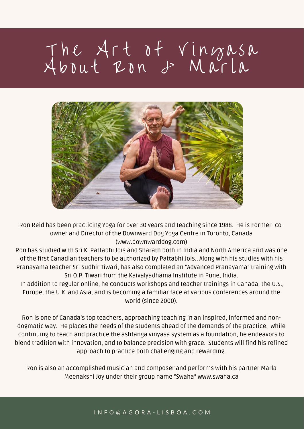# T N C A r t o t V I N G R S R About Ron & Maria



Ron Reid has been practicing Yoga for over 30 years and teaching since 1988. He is Former- co-

owner and Director of the Downward Dog Yoga Centre in Toronto, Canada [\(www.downwarddog.com\)](http://www.downwarddog.com/)

Ron has studied with Sri K. Pattabhi Jois and Sharath both in India and North America and was one of the first Canadian teachers to be authorized by Pattabhi Jois.. Along with his studies with his Pranayama teacher Sri Sudhir Tiwari, has also completed an "Advanced Pranayama" training with Sri O.P. Tiwari from the Kaivalyadhama Institute in Pune, India.

raccompiished musician and composer and performs with his<br>Meenakshi Joy under their group name "Swaha" [www.swaha.ca](http://www.swaha.ca/) Ron is also an accomplished musician and composer and performs with his partner Marla

4-DAY IMMERSION Ron is one of Canada's top teachers, approaching teaching in an inspired, informed and nondogmatic way. He places the needs of the students ahead of the demands of the practice. While continuing to teach and practice the ashtanga vinyasa system as a foundation, he endeavors to blend tradition with innovation, and to balance precision with grace. Students will find his refined approach to practice both challenging and rewarding.

In addition to regular online, he conducts workshops and teacher trainings in Canada, the U.S., Europe, the U.K. and Asia, and is becoming a familiar face at various conferences around the world (since 2000).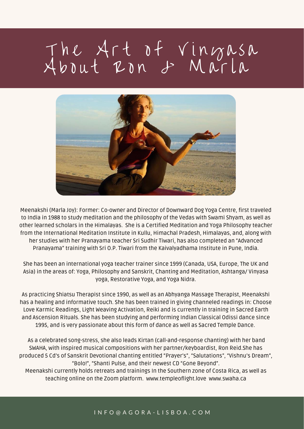# T N C A r t o t V I N G R S R About Ron & Maria



Meenakshi (Marla Joy): Former: Co-owner and Director of Downward Dog Yoga Centre, first traveled to India in 1988 to study meditation and the philosophy of the Vedas with Swami Shyam, as well as other learned scholars in the Himalayas. She is a Certified Meditation and Yoga Philosophy teacher from the International Meditation Institute in Kullu, Himachal Pradesh, Himalayas, and, along with her studies with her Pranayama teacher Sri Sudhir Tiwari, has also completed an "Advanced Pranayama" training with Sri O.P. Tiwari from the Kaivalyadhama Institute in Pune, India.

She has been an international yoga teacher trainer since 1999 (Canada, USA, Europe, The UK and Asia) in the areas of: Yoga, Philosophy and Sanskrit, Chanting and Meditation, Ashtanga/ Vinyasa yoga, Restorative Yoga, and Yoga Nidra.

Inskrit Devotional chanting entitled "Prayer's", "Salutation:<br>"Bolo!", "Shanti Pulse, and their newest CD "Gone Beyond". Meenakshi currently holds retreats and trainings In the Southern zone of Costa Rica, as well as<br>toaching online an the Zoom platform, www.tomplooflight love www.swaba.ca As a celebrated song-stress, she also leads Kirtan (call-and-response chanting) with her band SWAHA, with inspired musical compositions with her partner/keyboardist, Ron Reid.She has produced 5 Cd's of Sanskrit Devotional chanting entitled "Prayer's" , "Salutations" , "Vishnu's Dream" ,

As practicing Shiatsu Therapist since 1990, as well as an Abhyanga Massage Therapist, Meenakshi has a healing and informative touch. She has been trained in giving channeled readings in: Choose Love Karmic Readings, Light Weaving Activation, Reiki and is currently in training in Sacred Earth and Ascension Rituals. She has been studying and performing Indian Classical Odissi dance since 1995, and is very passionate about this form of dance as well as Sacred Temple Dance.

teaching online on the Zoom platform. www.templeoflight.love [www.swaha.ca](http://www.swaha.ca/)